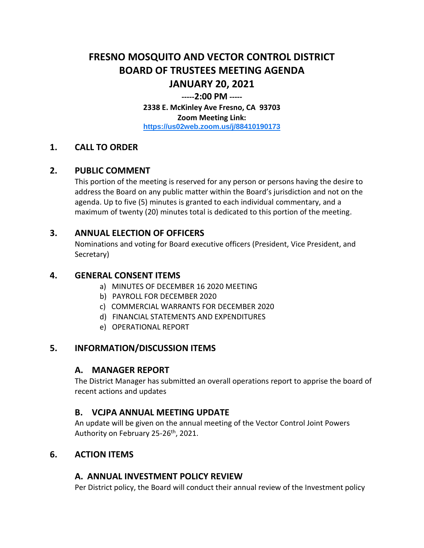# **FRESNO MOSQUITO AND VECTOR CONTROL DISTRICT BOARD OF TRUSTEES MEETING AGENDA JANUARY 20, 2021**

#### **-----2:00 PM -----**

**2338 E. McKinley Ave Fresno, CA 93703 Zoom Meeting Link: <https://us02web.zoom.us/j/88410190173>**

### **1. CALL TO ORDER**

#### **2. PUBLIC COMMENT**

This portion of the meeting is reserved for any person or persons having the desire to address the Board on any public matter within the Board's jurisdiction and not on the agenda. Up to five (5) minutes is granted to each individual commentary, and a maximum of twenty (20) minutes total is dedicated to this portion of the meeting.

### **3. ANNUAL ELECTION OF OFFICERS**

Nominations and voting for Board executive officers (President, Vice President, and Secretary)

#### **4. GENERAL CONSENT ITEMS**

- a) MINUTES OF DECEMBER 16 2020 MEETING
- b) PAYROLL FOR DECEMBER 2020
- c) COMMERCIAL WARRANTS FOR DECEMBER 2020
- d) FINANCIAL STATEMENTS AND EXPENDITURES
- e) OPERATIONAL REPORT

# **5. INFORMATION/DISCUSSION ITEMS**

#### **A. MANAGER REPORT**

The District Manager has submitted an overall operations report to apprise the board of recent actions and updates

#### **B. VCJPA ANNUAL MEETING UPDATE**

An update will be given on the annual meeting of the Vector Control Joint Powers Authority on February 25-26<sup>th</sup>, 2021.

### **6. ACTION ITEMS**

# **A. ANNUAL INVESTMENT POLICY REVIEW**

Per District policy, the Board will conduct their annual review of the Investment policy